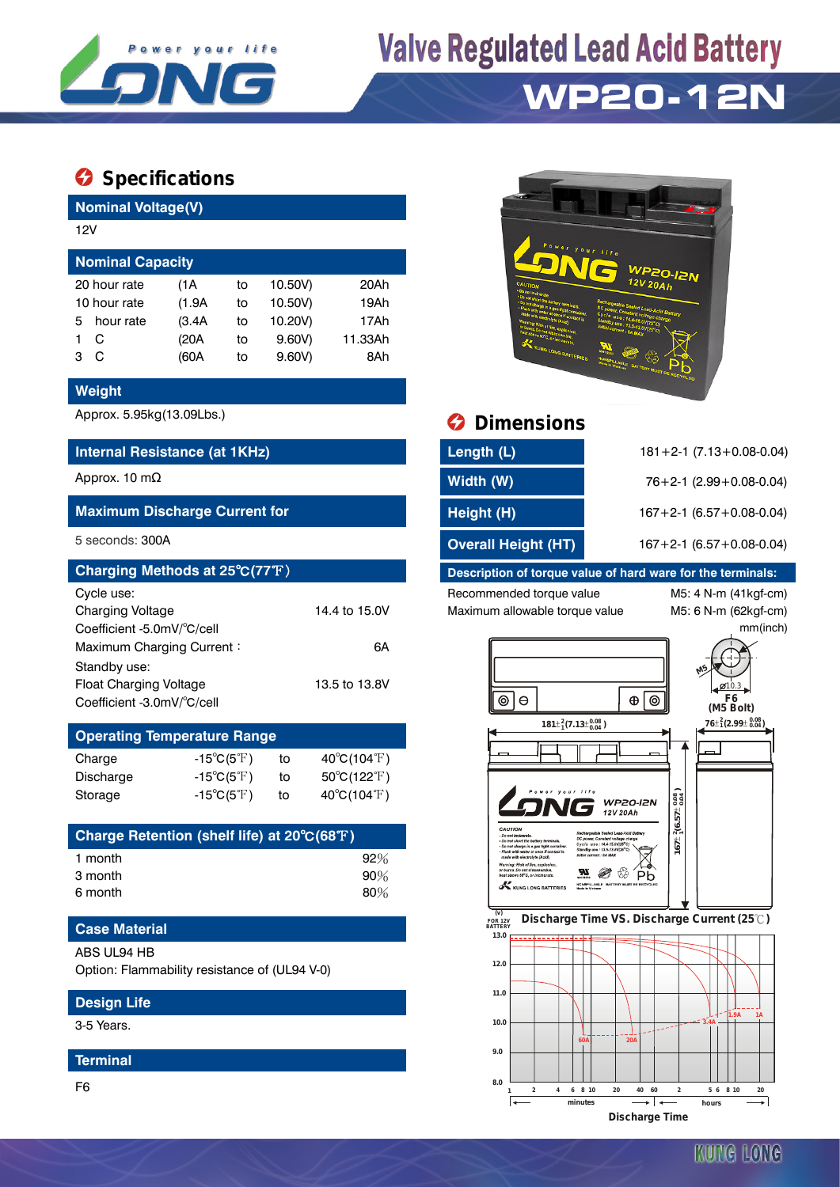

# **Valve Regulated Lead Acid Battery**

## **WP20-12N**

### $\bullet$  Specifications

**Nominal Voltage(V)**

| 12V                     |           |        |    |         |         |  |  |  |  |
|-------------------------|-----------|--------|----|---------|---------|--|--|--|--|
| <b>Nominal Capacity</b> |           |        |    |         |         |  |  |  |  |
| 20 hour rate            |           | (1A    | to | 10.50V) | 20Ah    |  |  |  |  |
| 10 hour rate            |           | (1.9A) | to | 10.50V) | 19Ah    |  |  |  |  |
| 5.                      | hour rate | (3.4A) | to | 10.20V) | 17Ah    |  |  |  |  |
|                         | С         | (20A   | to | 9.60V   | 11.33Ah |  |  |  |  |
| з                       | C         | (60A   | to | 9.60V   | 8Ah     |  |  |  |  |

#### **Weight**

#### **Internal Resistance (at 1KHz)**

#### **Maximum Discharge Current for**

| Charging Methods at 25°C(77°F) |               |
|--------------------------------|---------------|
| Cycle use:                     |               |
| <b>Charging Voltage</b>        | 14.4 to 15.0V |
| Coefficient -5.0mV/°C/cell     |               |
| Maximum Charging Current:      | 6А            |
| Standby use:                   |               |
| <b>Float Charging Voltage</b>  | 13.5 to 13.8V |
| Coefficient -3.0mV/°C/cell     |               |

| <b>Operating Temperature Range</b> |                            |    |                                  |  |  |  |  |  |
|------------------------------------|----------------------------|----|----------------------------------|--|--|--|--|--|
| Charge                             | $-15^{\circ}C(5^{\circ}F)$ | to | $40^{\circ}$ C(104 $^{\circ}$ F) |  |  |  |  |  |
| Discharge                          | $-15^{\circ}C(5^{\circ}F)$ | tο | $50^{\circ}$ C(122 $^{\circ}$ F) |  |  |  |  |  |
| Storage                            | $-15^{\circ}C(5^{\circ}F)$ | tο | $40^{\circ}C(104^{\circ}F)$      |  |  |  |  |  |

| Charge Retention (shelf life) at 20°C(68°F) |        |
|---------------------------------------------|--------|
| 1 month                                     | $92\%$ |
| 3 month                                     | $90\%$ |
| 6 month                                     | $80\%$ |

#### **Case Material**

ABS UL94 HB

Option: Flammability resistance of (UL94 V-0)

#### **Design Life**

3-5 Years.

#### **Terminal**

F6



### Approx. 5.95kg(13.09Lbs.) **Dimensions**

| Internal Resistance (at 1KHz)        | Length (L)                 | $181 + 2 - 1$ (7.13 + 0.08 - 0.04) |  |  |
|--------------------------------------|----------------------------|------------------------------------|--|--|
| Approx. 10 mΩ                        | Width (W)                  | $76+2-1$ (2.99 + 0.08-0.04)        |  |  |
| <b>Maximum Discharge Current for</b> | Height (H)                 | $167 + 2 - 1$ (6.57 + 0.08 - 0.04) |  |  |
| 5 seconds: 300A                      | <b>Overall Height (HT)</b> | $167 + 2 - 1$ (6.57 + 0.08 - 0.04) |  |  |

#### **Description of torque value of hard ware for the terminals:**

Recommended torque value M5: 4 N-m (41kgf-cm) Maximum allowable torque value M5: 6 N-m (62kgf-cm)

**8.0**

匠

mm(inch)



**1 2 4 6 8 10 20 40 60 2 5 6 8 10 20 minutes hours Discharge Time**